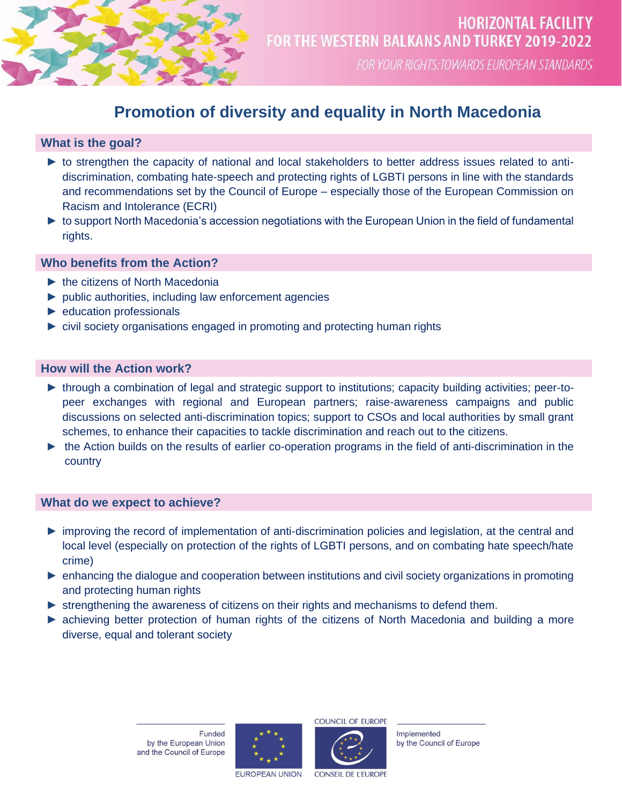

FOR YOUR RIGHTS: TOWARDS EUROPEAN STANDARDS

# **Promotion of diversity and equality in North Macedonia**

# **What is the goal?**

- ► to strengthen the capacity of national and local stakeholders to better address issues related to antidiscrimination, combating hate-speech and protecting rights of LGBTI persons in line with the standards and recommendations set by the Council of Europe – especially those of the European Commission on Racism and Intolerance (ECRI)
- ► to support North Macedonia's accession negotiations with the European Union in the field of fundamental rights.

# **Who benefits from the Action?**

- ► the citizens of North Macedonia
- ► public authorities, including law enforcement agencies
- ► education professionals
- ► civil society organisations engaged in promoting and protecting human rights

# **How will the Action work?**

- ► through a combination of legal and strategic support to institutions; capacity building activities; peer-topeer exchanges with regional and European partners; raise-awareness campaigns and public discussions on selected anti-discrimination topics; support to CSOs and local authorities by small grant schemes, to enhance their capacities to tackle discrimination and reach out to the citizens.
- ► the Action builds on the results of earlier co-operation programs in the field of anti-discrimination in the country

# **What do we expect to achieve?**

- ► improving the record of implementation of anti-discrimination policies and legislation, at the central and local level (especially on protection of the rights of LGBTI persons, and on combating hate speech/hate crime)
- ► enhancing the dialogue and cooperation between institutions and civil society organizations in promoting and protecting human rights
- ► strengthening the awareness of citizens on their rights and mechanisms to defend them.
- ► achieving better protection of human rights of the citizens of North Macedonia and building a more diverse, equal and tolerant society

Funded by the European Union and the Council of Europe





Implemented by the Council of Europe

**EUROPEAN UNION** 

CONSEIL DE L'EUROPI